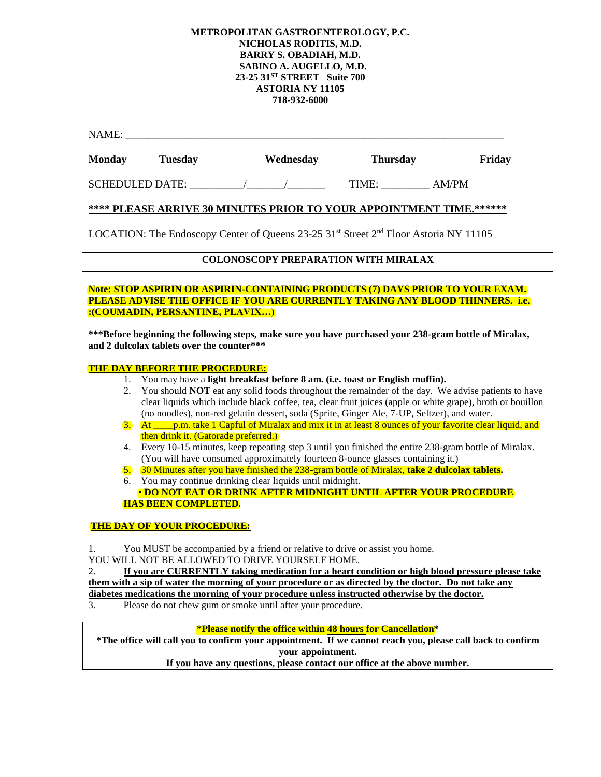#### **METROPOLITAN GASTROENTEROLOGY, P.C. NICHOLAS RODITIS, M.D. BARRY S. OBADIAH, M.D. SABINO A. AUGELLO, M.D. 23-25 31ST STREET Suite 700 ASTORIA NY 11105 718-932-6000**

| <b>NAME</b><br>1111111 |  |  |
|------------------------|--|--|
|                        |  |  |

| <b>Monday</b> | <b>Tuesday</b> | Wednesday | <b>Thursday</b> | Friday |
|---------------|----------------|-----------|-----------------|--------|

SCHEDULED DATE:  $\qquad \qquad / \qquad \qquad /$  TIME: AM/PM

### **\*\*\*\* PLEASE ARRIVE 30 MINUTES PRIOR TO YOUR APPOINTMENT TIME.\*\*\*\*\*\***

LOCATION: The Endoscopy Center of Queens 23-25 31<sup>st</sup> Street 2<sup>nd</sup> Floor Astoria NY 11105

# **COLONOSCOPY PREPARATION WITH MIRALAX**

#### **Note: STOP ASPIRIN OR ASPIRIN-CONTAINING PRODUCTS (7) DAYS PRIOR TO YOUR EXAM. PLEASE ADVISE THE OFFICE IF YOU ARE CURRENTLY TAKING ANY BLOOD THINNERS. i.e. :(COUMADIN, PERSANTINE, PLAVIX…)**

**\*\*\*Before beginning the following steps, make sure you have purchased your 238-gram bottle of Miralax, and 2 dulcolax tablets over the counter\*\*\***

#### **THE DAY BEFORE THE PROCEDURE:**

- 1. You may have a **light breakfast before 8 am. (i.e. toast or English muffin).**
- 2. You should **NOT** eat any solid foods throughout the remainder of the day. We advise patients to have clear liquids which include black coffee, tea, clear fruit juices (apple or white grape), broth or bouillon (no noodles), non-red gelatin dessert, soda (Sprite, Ginger Ale, 7-UP, Seltzer), and water.
- 3. At \_\_\_\_p.m. take 1 Capful of Miralax and mix it in at least 8 ounces of your favorite clear liquid, and then drink it. (Gatorade preferred.)
- 4. Every 10-15 minutes, keep repeating step 3 until you finished the entire 238-gram bottle of Miralax. (You will have consumed approximately fourteen 8-ounce glasses containing it.)
- 5. 30 Minutes after you have finished the 238-gram bottle of Miralax, **take 2 dulcolax tablets.**
- 6. You may continue drinking clear liquids until midnight.
- **DO NOT EAT OR DRINK AFTER MIDNIGHT UNTIL AFTER YOUR PROCEDURE HAS BEEN COMPLETED.**

#### **THE DAY OF YOUR PROCEDURE:**

- 1. You MUST be accompanied by a friend or relative to drive or assist you home.
- YOU WILL NOT BE ALLOWED TO DRIVE YOURSELF HOME.

2. **If you are CURRENTLY taking medication for a heart condition or high blood pressure please take them with a sip of water the morning of your procedure or as directed by the doctor. Do not take any diabetes medications the morning of your procedure unless instructed otherwise by the doctor.**

3. Please do not chew gum or smoke until after your procedure.

## **\*Please notify the office within 48 hours for Cancellation\***

**\*The office will call you to confirm your appointment. If we cannot reach you, please call back to confirm your appointment. If you have any questions, please contact our office at the above number.**